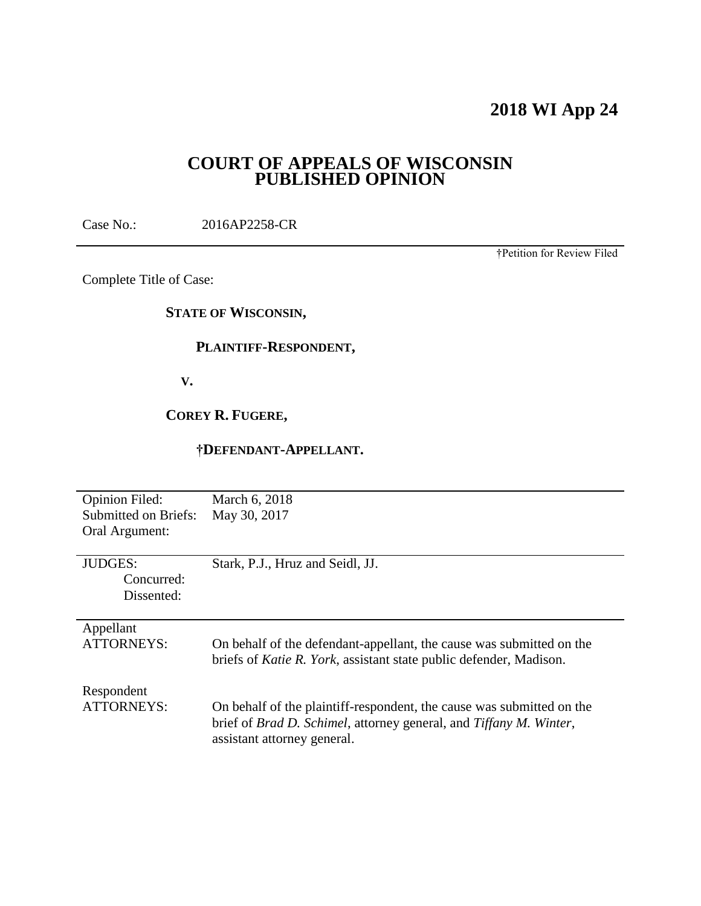## **2018 WI App 24**

## **COURT OF APPEALS OF WISCONSIN PUBLISHED OPINION**

Case No.: 2016AP2258-CR

†Petition for Review Filed

Complete Title of Case:

#### **STATE OF WISCONSIN,**

#### **PLAINTIFF-RESPONDENT,**

 **V.**

## **COREY R. FUGERE,**

#### **†DEFENDANT-APPELLANT.**

| <b>Opinion Filed:</b><br><b>Submitted on Briefs:</b><br>Oral Argument: | March 6, 2018<br>May 30, 2017                                                                                                                                              |
|------------------------------------------------------------------------|----------------------------------------------------------------------------------------------------------------------------------------------------------------------------|
| <b>JUDGES:</b><br>Concurred:<br>Dissented:                             | Stark, P.J., Hruz and Seidl, JJ.                                                                                                                                           |
| Appellant<br><b>ATTORNEYS:</b>                                         | On behalf of the defendant-appellant, the cause was submitted on the<br>briefs of <i>Katie R. York</i> , assistant state public defender, Madison.                         |
| Respondent<br>ATTORNEYS:                                               | On behalf of the plaintiff-respondent, the cause was submitted on the<br>brief of Brad D. Schimel, attorney general, and Tiffany M. Winter,<br>assistant attorney general. |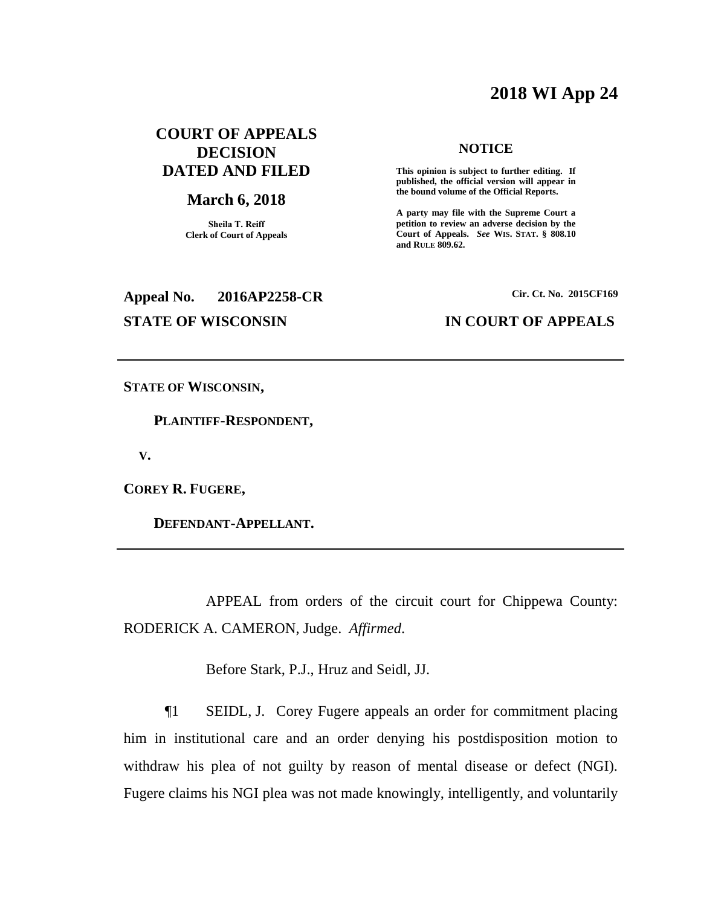## **2018 WI App 24**

## **COURT OF APPEALS DECISION DATED AND FILED**

#### **March 6, 2018**

**Sheila T. Reiff Clerk of Court of Appeals**

# **Appeal No. 2016AP2258-CR Cir. Ct. No. 2015CF169**

#### **NOTICE**

**This opinion is subject to further editing. If published, the official version will appear in the bound volume of the Official Reports.** 

**A party may file with the Supreme Court a petition to review an adverse decision by the Court of Appeals.** *See* **WIS. STAT. § 808.10 and RULE 809.62.** 

#### **STATE OF WISCONSIN IN COURT OF APPEALS**

**STATE OF WISCONSIN,**

 **PLAINTIFF-RESPONDENT,**

 **V.**

**COREY R. FUGERE,**

 **DEFENDANT-APPELLANT.**

APPEAL from orders of the circuit court for Chippewa County: RODERICK A. CAMERON, Judge. *Affirmed*.

Before Stark, P.J., Hruz and Seidl, JJ.

¶1 SEIDL, J. Corey Fugere appeals an order for commitment placing him in institutional care and an order denying his postdisposition motion to withdraw his plea of not guilty by reason of mental disease or defect (NGI). Fugere claims his NGI plea was not made knowingly, intelligently, and voluntarily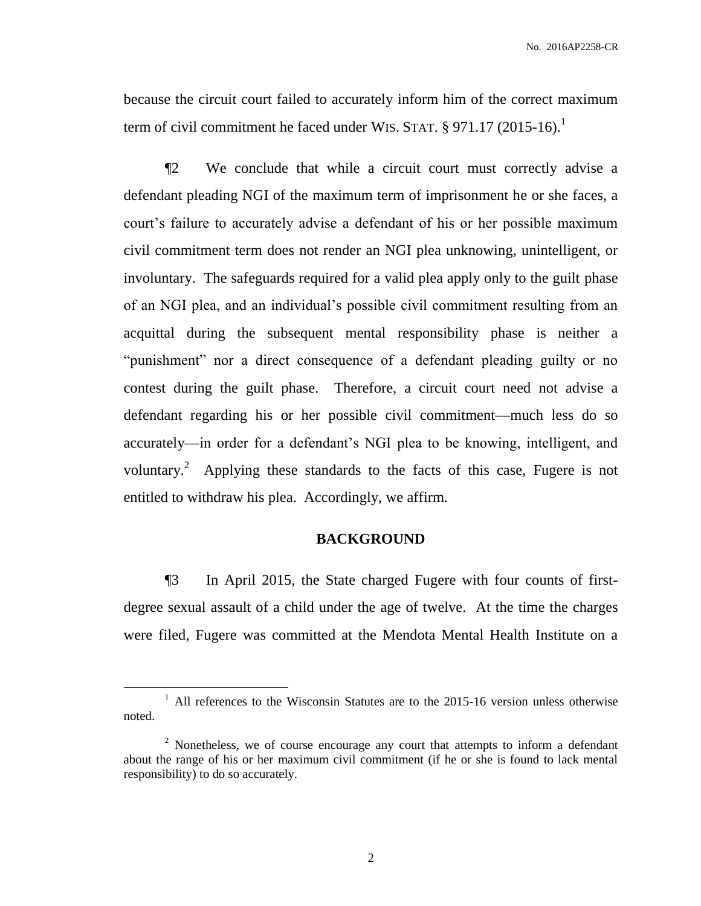because the circuit court failed to accurately inform him of the correct maximum term of civil commitment he faced under WIS. STAT.  $\S$  971.17 (2015-16).<sup>1</sup>

¶2 We conclude that while a circuit court must correctly advise a defendant pleading NGI of the maximum term of imprisonment he or she faces, a court's failure to accurately advise a defendant of his or her possible maximum civil commitment term does not render an NGI plea unknowing, unintelligent, or involuntary. The safeguards required for a valid plea apply only to the guilt phase of an NGI plea, and an individual's possible civil commitment resulting from an acquittal during the subsequent mental responsibility phase is neither a "punishment" nor a direct consequence of a defendant pleading guilty or no contest during the guilt phase. Therefore, a circuit court need not advise a defendant regarding his or her possible civil commitment—much less do so accurately—in order for a defendant's NGI plea to be knowing, intelligent, and voluntary.<sup>2</sup> Applying these standards to the facts of this case, Fugere is not entitled to withdraw his plea. Accordingly, we affirm.

#### **BACKGROUND**

¶3 In April 2015, the State charged Fugere with four counts of firstdegree sexual assault of a child under the age of twelve. At the time the charges were filed, Fugere was committed at the Mendota Mental Health Institute on a

 $\overline{a}$ 

<sup>&</sup>lt;sup>1</sup> All references to the Wisconsin Statutes are to the 2015-16 version unless otherwise noted.

<sup>&</sup>lt;sup>2</sup> Nonetheless, we of course encourage any court that attempts to inform a defendant about the range of his or her maximum civil commitment (if he or she is found to lack mental responsibility) to do so accurately.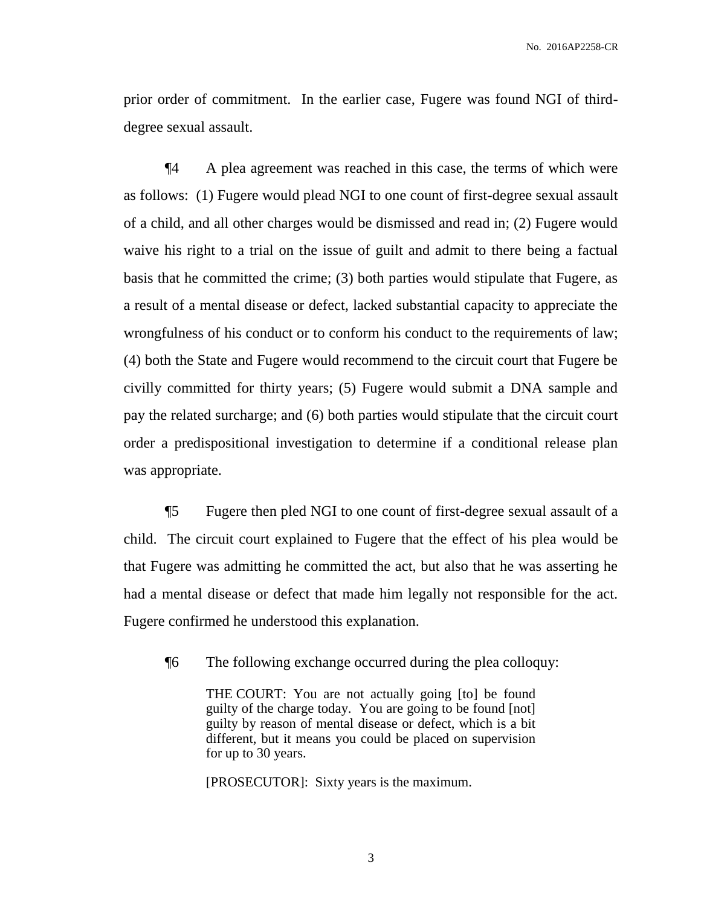prior order of commitment. In the earlier case, Fugere was found NGI of thirddegree sexual assault.

¶4 A plea agreement was reached in this case, the terms of which were as follows: (1) Fugere would plead NGI to one count of first-degree sexual assault of a child, and all other charges would be dismissed and read in; (2) Fugere would waive his right to a trial on the issue of guilt and admit to there being a factual basis that he committed the crime; (3) both parties would stipulate that Fugere, as a result of a mental disease or defect, lacked substantial capacity to appreciate the wrongfulness of his conduct or to conform his conduct to the requirements of law; (4) both the State and Fugere would recommend to the circuit court that Fugere be civilly committed for thirty years; (5) Fugere would submit a DNA sample and pay the related surcharge; and (6) both parties would stipulate that the circuit court order a predispositional investigation to determine if a conditional release plan was appropriate.

¶5 Fugere then pled NGI to one count of first-degree sexual assault of a child. The circuit court explained to Fugere that the effect of his plea would be that Fugere was admitting he committed the act, but also that he was asserting he had a mental disease or defect that made him legally not responsible for the act. Fugere confirmed he understood this explanation.

¶6 The following exchange occurred during the plea colloquy:

THE COURT: You are not actually going [to] be found guilty of the charge today. You are going to be found [not] guilty by reason of mental disease or defect, which is a bit different, but it means you could be placed on supervision for up to 30 years.

[PROSECUTOR]: Sixty years is the maximum.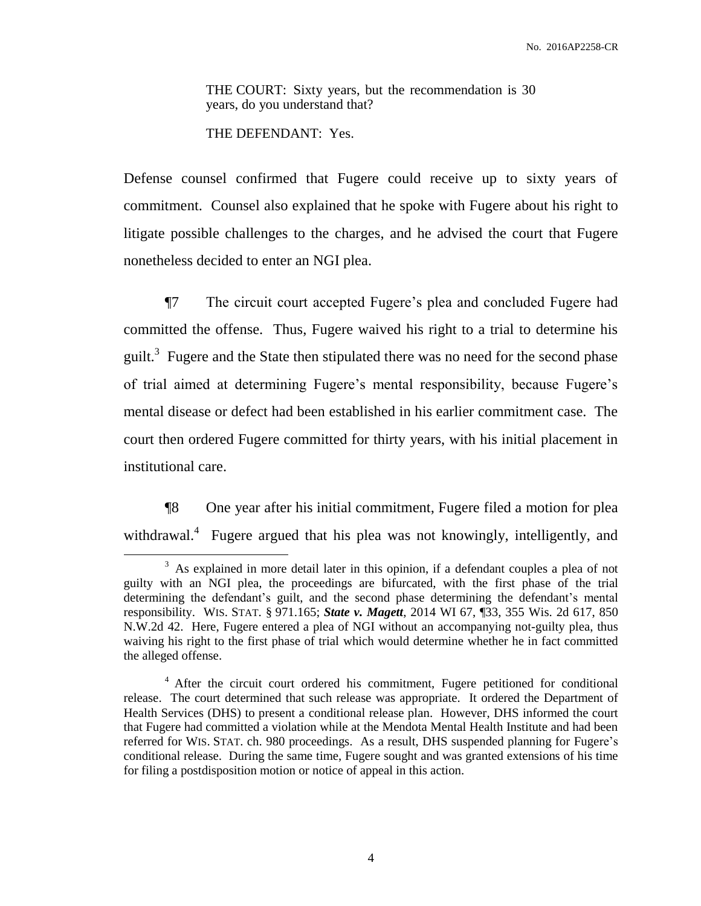THE COURT: Sixty years, but the recommendation is 30 years, do you understand that?

THE DEFENDANT: Yes.

 $\overline{a}$ 

Defense counsel confirmed that Fugere could receive up to sixty years of commitment. Counsel also explained that he spoke with Fugere about his right to litigate possible challenges to the charges, and he advised the court that Fugere nonetheless decided to enter an NGI plea.

¶7 The circuit court accepted Fugere's plea and concluded Fugere had committed the offense. Thus, Fugere waived his right to a trial to determine his guilt.<sup>3</sup> Fugere and the State then stipulated there was no need for the second phase of trial aimed at determining Fugere's mental responsibility, because Fugere's mental disease or defect had been established in his earlier commitment case. The court then ordered Fugere committed for thirty years, with his initial placement in institutional care.

¶8 One year after his initial commitment, Fugere filed a motion for plea withdrawal.<sup>4</sup> Fugere argued that his plea was not knowingly, intelligently, and

 $3$  As explained in more detail later in this opinion, if a defendant couples a plea of not guilty with an NGI plea, the proceedings are bifurcated, with the first phase of the trial determining the defendant's guilt, and the second phase determining the defendant's mental responsibility. WIS. STAT. § 971.165; *State v. Magett*, 2014 WI 67, ¶33, 355 Wis. 2d 617, 850 N.W.2d 42. Here, Fugere entered a plea of NGI without an accompanying not-guilty plea, thus waiving his right to the first phase of trial which would determine whether he in fact committed the alleged offense.

<sup>&</sup>lt;sup>4</sup> After the circuit court ordered his commitment, Fugere petitioned for conditional release. The court determined that such release was appropriate. It ordered the Department of Health Services (DHS) to present a conditional release plan. However, DHS informed the court that Fugere had committed a violation while at the Mendota Mental Health Institute and had been referred for WIS. STAT. ch. 980 proceedings. As a result, DHS suspended planning for Fugere's conditional release. During the same time, Fugere sought and was granted extensions of his time for filing a postdisposition motion or notice of appeal in this action.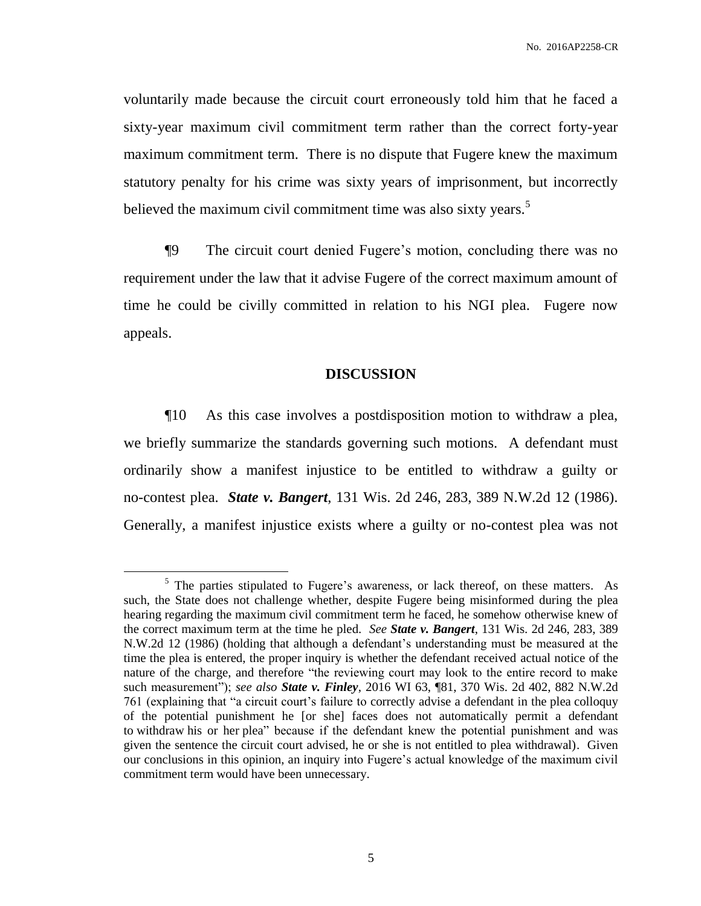voluntarily made because the circuit court erroneously told him that he faced a sixty-year maximum civil commitment term rather than the correct forty-year maximum commitment term. There is no dispute that Fugere knew the maximum statutory penalty for his crime was sixty years of imprisonment, but incorrectly believed the maximum civil commitment time was also sixty years.<sup>5</sup>

¶9 The circuit court denied Fugere's motion, concluding there was no requirement under the law that it advise Fugere of the correct maximum amount of time he could be civilly committed in relation to his NGI plea. Fugere now appeals.

#### **DISCUSSION**

¶10 As this case involves a postdisposition motion to withdraw a plea, we briefly summarize the standards governing such motions. A defendant must ordinarily show a manifest injustice to be entitled to withdraw a guilty or no-contest plea. *State v. Bangert*, 131 Wis. 2d 246, 283, 389 N.W.2d 12 (1986). Generally, a manifest injustice exists where a guilty or no-contest plea was not

 $\overline{a}$ 

<sup>&</sup>lt;sup>5</sup> The parties stipulated to Fugere's awareness, or lack thereof, on these matters. As such, the State does not challenge whether, despite Fugere being misinformed during the plea hearing regarding the maximum civil commitment term he faced, he somehow otherwise knew of the correct maximum term at the time he pled. *See State v. Bangert*, 131 Wis. 2d 246, 283, 389 N.W.2d 12 (1986) (holding that although a defendant's understanding must be measured at the time the plea is entered, the proper inquiry is whether the defendant received actual notice of the nature of the charge, and therefore "the reviewing court may look to the entire record to make such measurement"); *see also State v. Finley*, 2016 WI 63, ¶81, 370 Wis. 2d 402, 882 N.W.2d 761 (explaining that "a circuit court's failure to correctly advise a defendant in the plea colloquy of the potential punishment he [or she] faces does not automatically permit a defendant to withdraw his or her plea" because if the defendant knew the potential punishment and was given the sentence the circuit court advised, he or she is not entitled to plea withdrawal). Given our conclusions in this opinion, an inquiry into Fugere's actual knowledge of the maximum civil commitment term would have been unnecessary.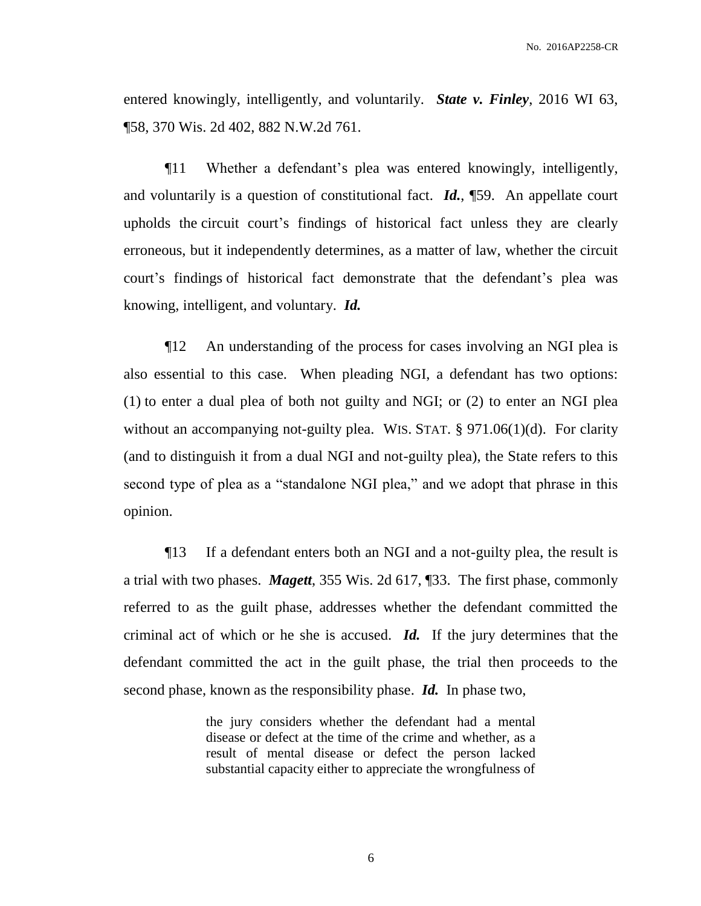entered knowingly, intelligently, and voluntarily. *State v. Finley*, 2016 WI 63, ¶58, 370 Wis. 2d 402, 882 N.W.2d 761.

¶11 Whether a defendant's plea was entered knowingly, intelligently, and voluntarily is a question of constitutional fact. *Id.*, ¶59. An appellate court upholds the circuit court's findings of historical fact unless they are clearly erroneous, but it independently determines, as a matter of law, whether the circuit court's findings of historical fact demonstrate that the defendant's plea was knowing, intelligent, and voluntary. *Id.*

¶12 An understanding of the process for cases involving an NGI plea is also essential to this case. When pleading NGI, a defendant has two options: (1) to enter a dual plea of both not guilty and NGI; or (2) to enter an NGI plea without an accompanying not-guilty plea. WIS. STAT. § 971.06(1)(d). For clarity (and to distinguish it from a dual NGI and not-guilty plea), the State refers to this second type of plea as a "standalone NGI plea," and we adopt that phrase in this opinion.

¶13 If a defendant enters both an NGI and a not-guilty plea, the result is a trial with two phases. *Magett*, 355 Wis. 2d 617, ¶33. The first phase, commonly referred to as the guilt phase, addresses whether the defendant committed the criminal act of which or he she is accused. *Id.* If the jury determines that the defendant committed the act in the guilt phase, the trial then proceeds to the second phase, known as the responsibility phase. *Id.* In phase two,

> the jury considers whether the defendant had a mental disease or defect at the time of the crime and whether, as a result of mental disease or defect the person lacked substantial capacity either to appreciate the wrongfulness of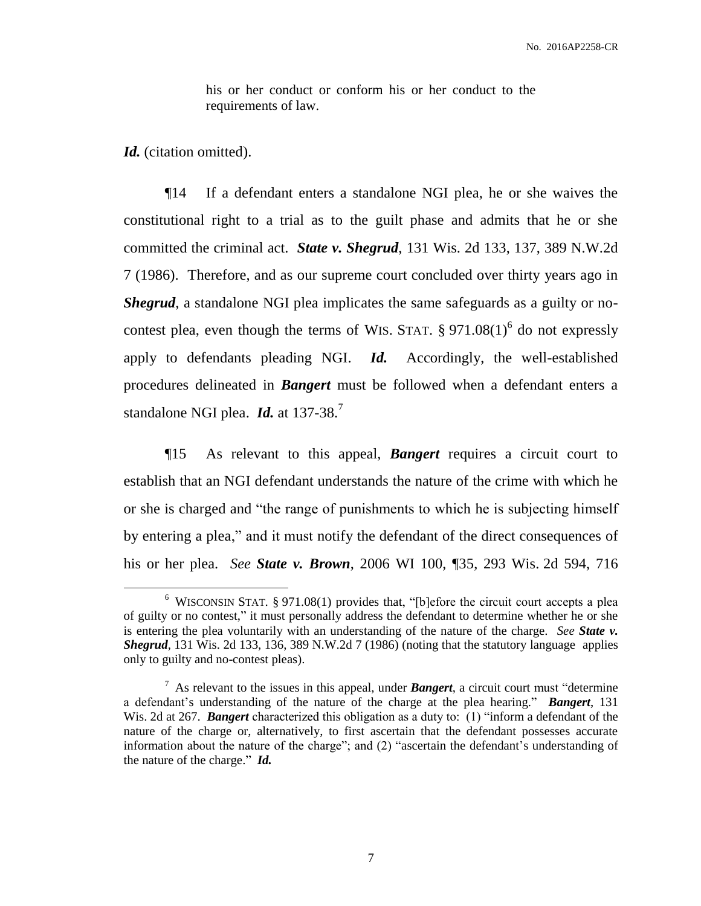his or her conduct or conform his or her conduct to the requirements of law.

*Id.* (citation omitted).

 $\overline{a}$ 

¶14 If a defendant enters a standalone NGI plea, he or she waives the constitutional right to a trial as to the guilt phase and admits that he or she committed the criminal act. *State v. Shegrud*, 131 Wis. 2d 133, 137, 389 N.W.2d 7 (1986). Therefore, and as our supreme court concluded over thirty years ago in *Shegrud*, a standalone NGI plea implicates the same safeguards as a guilty or nocontest plea, even though the terms of WIS. STAT.  $\S 971.08(1)^6$  do not expressly apply to defendants pleading NGI. *Id.* Accordingly, the well-established procedures delineated in *Bangert* must be followed when a defendant enters a standalone NGI plea. *Id.* at 137-38.<sup>7</sup>

¶15 As relevant to this appeal, *Bangert* requires a circuit court to establish that an NGI defendant understands the nature of the crime with which he or she is charged and "the range of punishments to which he is subjecting himself by entering a plea," and it must notify the defendant of the direct consequences of his or her plea. *See State v. Brown*, 2006 WI 100, ¶35, 293 Wis. 2d 594, 716

<sup>&</sup>lt;sup>6</sup> WISCONSIN STAT. § 971.08(1) provides that, "[b]efore the circuit court accepts a plea of guilty or no contest," it must personally address the defendant to determine whether he or she is entering the plea voluntarily with an understanding of the nature of the charge. *See State v. Shegrud*, 131 Wis. 2d 133, 136, 389 N.W.2d 7 (1986) (noting that the statutory language applies only to guilty and no-contest pleas).

 $<sup>7</sup>$  As relevant to the issues in this appeal, under **Bangert**, a circuit court must "determine"</sup> a defendant's understanding of the nature of the charge at the plea hearing." *Bangert*, 131 Wis. 2d at 267. *Bangert* characterized this obligation as a duty to: (1) "inform a defendant of the nature of the charge or, alternatively, to first ascertain that the defendant possesses accurate information about the nature of the charge"; and (2) "ascertain the defendant's understanding of the nature of the charge." *Id.*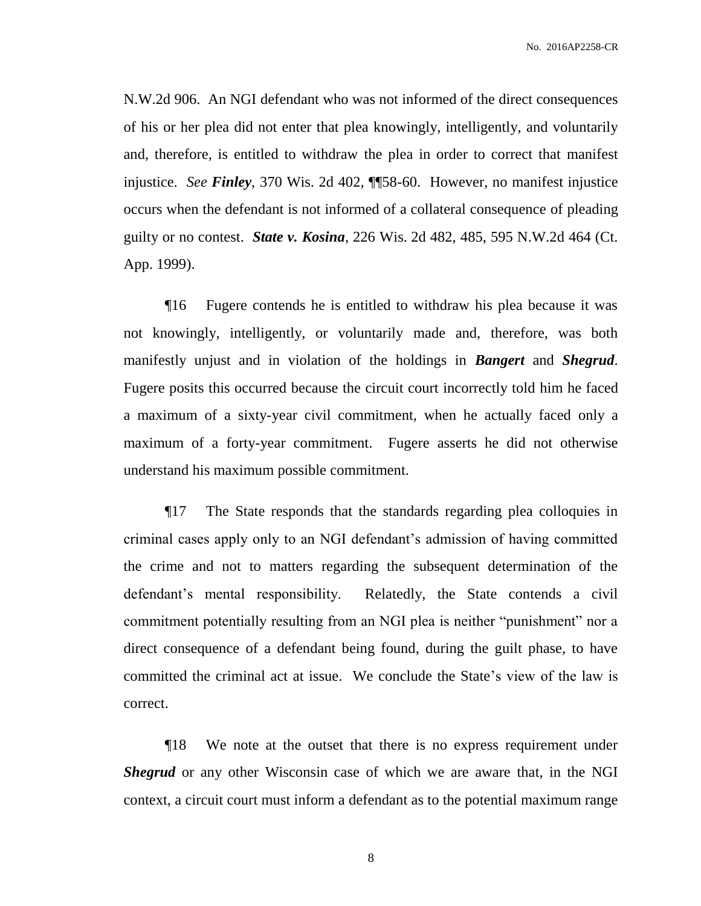N.W.2d 906. An NGI defendant who was not informed of the direct consequences of his or her plea did not enter that plea knowingly, intelligently, and voluntarily and, therefore, is entitled to withdraw the plea in order to correct that manifest injustice. *See Finley*, 370 Wis. 2d 402, ¶¶58-60. However, no manifest injustice occurs when the defendant is not informed of a collateral consequence of pleading guilty or no contest. *State v. Kosina*, 226 Wis. 2d 482, 485, 595 N.W.2d 464 (Ct. App. 1999).

¶16 Fugere contends he is entitled to withdraw his plea because it was not knowingly, intelligently, or voluntarily made and, therefore, was both manifestly unjust and in violation of the holdings in *Bangert* and *Shegrud*. Fugere posits this occurred because the circuit court incorrectly told him he faced a maximum of a sixty-year civil commitment, when he actually faced only a maximum of a forty-year commitment. Fugere asserts he did not otherwise understand his maximum possible commitment.

¶17 The State responds that the standards regarding plea colloquies in criminal cases apply only to an NGI defendant's admission of having committed the crime and not to matters regarding the subsequent determination of the defendant's mental responsibility. Relatedly, the State contends a civil commitment potentially resulting from an NGI plea is neither "punishment" nor a direct consequence of a defendant being found, during the guilt phase, to have committed the criminal act at issue. We conclude the State's view of the law is correct.

¶18 We note at the outset that there is no express requirement under *Shegrud* or any other Wisconsin case of which we are aware that, in the NGI context, a circuit court must inform a defendant as to the potential maximum range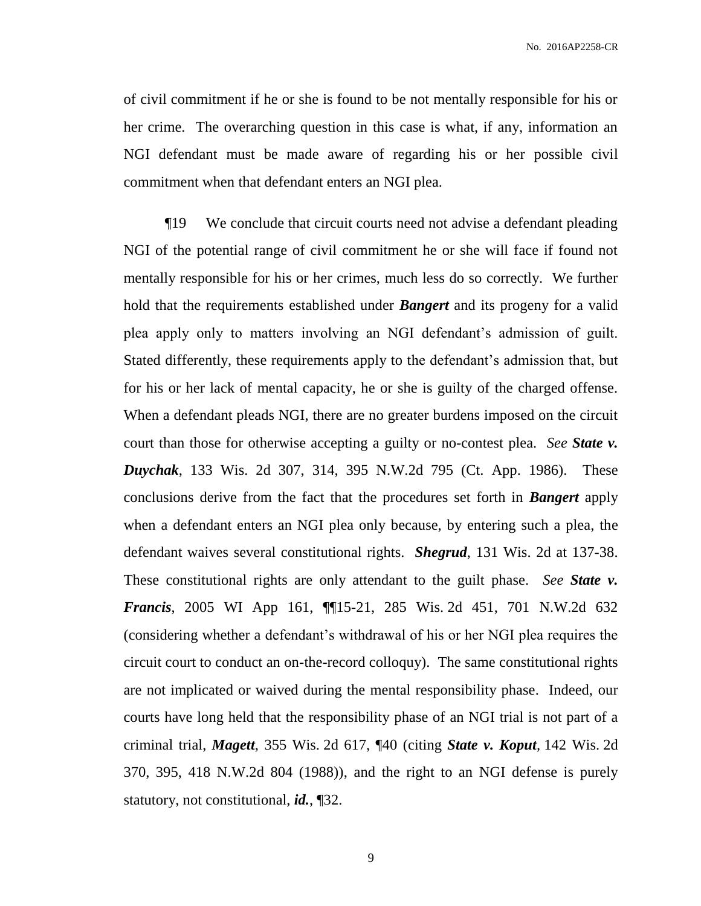of civil commitment if he or she is found to be not mentally responsible for his or her crime. The overarching question in this case is what, if any, information an NGI defendant must be made aware of regarding his or her possible civil commitment when that defendant enters an NGI plea.

¶19 We conclude that circuit courts need not advise a defendant pleading NGI of the potential range of civil commitment he or she will face if found not mentally responsible for his or her crimes, much less do so correctly. We further hold that the requirements established under *Bangert* and its progeny for a valid plea apply only to matters involving an NGI defendant's admission of guilt. Stated differently, these requirements apply to the defendant's admission that, but for his or her lack of mental capacity, he or she is guilty of the charged offense. When a defendant pleads NGI, there are no greater burdens imposed on the circuit court than those for otherwise accepting a guilty or no-contest plea. *See State v. Duychak*, 133 Wis. 2d 307, 314, 395 N.W.2d 795 (Ct. App. 1986). These conclusions derive from the fact that the procedures set forth in *Bangert* apply when a defendant enters an NGI plea only because, by entering such a plea, the defendant waives several constitutional rights. *Shegrud*, 131 Wis. 2d at 137-38. These constitutional rights are only attendant to the guilt phase. *See State v. Francis*, 2005 WI App 161, ¶¶15-21, 285 Wis. 2d 451, 701 N.W.2d 632 (considering whether a defendant's withdrawal of his or her NGI plea requires the circuit court to conduct an on-the-record colloquy). The same constitutional rights are not implicated or waived during the mental responsibility phase. Indeed, our courts have long held that the responsibility phase of an NGI trial is not part of a criminal trial, *Magett*, 355 Wis. 2d 617, ¶40 (citing *State v. Koput,* 142 Wis. 2d 370, 395, 418 N.W.2d 804 (1988)), and the right to an NGI defense is purely statutory, not constitutional, *id.*, ¶32.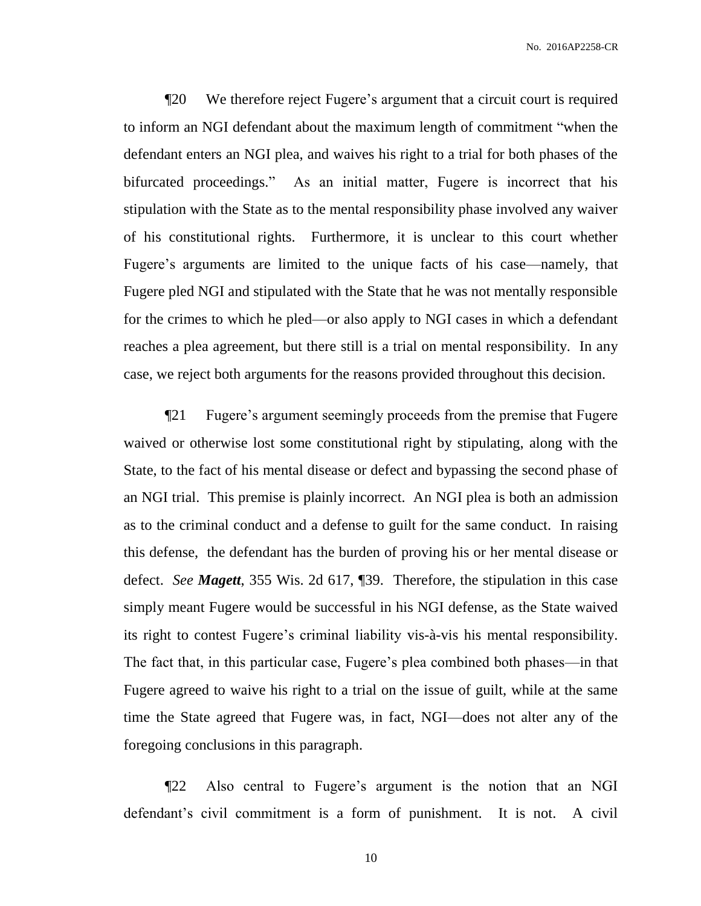¶20 We therefore reject Fugere's argument that a circuit court is required to inform an NGI defendant about the maximum length of commitment "when the defendant enters an NGI plea, and waives his right to a trial for both phases of the bifurcated proceedings." As an initial matter, Fugere is incorrect that his stipulation with the State as to the mental responsibility phase involved any waiver of his constitutional rights. Furthermore, it is unclear to this court whether Fugere's arguments are limited to the unique facts of his case—namely, that Fugere pled NGI and stipulated with the State that he was not mentally responsible for the crimes to which he pled—or also apply to NGI cases in which a defendant reaches a plea agreement, but there still is a trial on mental responsibility. In any case, we reject both arguments for the reasons provided throughout this decision.

¶21 Fugere's argument seemingly proceeds from the premise that Fugere waived or otherwise lost some constitutional right by stipulating, along with the State, to the fact of his mental disease or defect and bypassing the second phase of an NGI trial. This premise is plainly incorrect. An NGI plea is both an admission as to the criminal conduct and a defense to guilt for the same conduct. In raising this defense, the defendant has the burden of proving his or her mental disease or defect. *See Magett*, 355 Wis. 2d 617, ¶39. Therefore, the stipulation in this case simply meant Fugere would be successful in his NGI defense, as the State waived its right to contest Fugere's criminal liability vis-à-vis his mental responsibility. The fact that, in this particular case, Fugere's plea combined both phases—in that Fugere agreed to waive his right to a trial on the issue of guilt, while at the same time the State agreed that Fugere was, in fact, NGI—does not alter any of the foregoing conclusions in this paragraph.

¶22 Also central to Fugere's argument is the notion that an NGI defendant's civil commitment is a form of punishment. It is not. A civil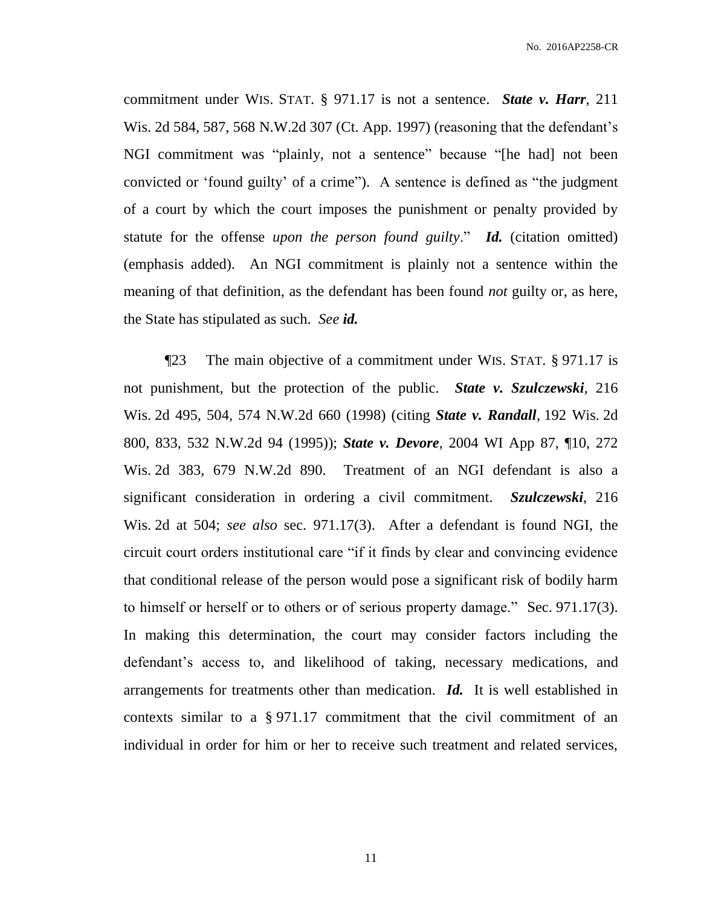commitment under WIS. STAT. § 971.17 is not a sentence. *State v. Harr*, 211 Wis. 2d 584, 587, 568 N.W.2d 307 (Ct. App. 1997) (reasoning that the defendant's NGI commitment was "plainly, not a sentence" because "[he had] not been convicted or 'found guilty' of a crime"). A sentence is defined as "the judgment of a court by which the court imposes the punishment or penalty provided by statute for the offense *upon the person found guilty*." *Id.* (citation omitted) (emphasis added). An NGI commitment is plainly not a sentence within the meaning of that definition, as the defendant has been found *not* guilty or, as here, the State has stipulated as such. *See id.*

¶23 The main objective of a commitment under WIS. STAT. § 971.17 is not punishment, but the protection of the public. *State v. Szulczewski*, 216 Wis. 2d 495, 504, 574 N.W.2d 660 (1998) (citing *State v. Randall,* 192 Wis. 2d 800, 833, 532 N.W.2d 94 (1995)); *State v. Devore*, 2004 WI App 87, ¶10, 272 Wis. 2d 383, 679 N.W.2d 890. Treatment of an NGI defendant is also a significant consideration in ordering a civil commitment. *Szulczewski*, 216 Wis. 2d at 504; *see also* sec. 971.17(3). After a defendant is found NGI, the circuit court orders institutional care "if it finds by clear and convincing evidence that conditional release of the person would pose a significant risk of bodily harm to himself or herself or to others or of serious property damage." Sec. 971.17(3). In making this determination, the court may consider factors including the defendant's access to, and likelihood of taking, necessary medications, and arrangements for treatments other than medication. *Id.* It is well established in contexts similar to a § 971.17 commitment that the civil commitment of an individual in order for him or her to receive such treatment and related services,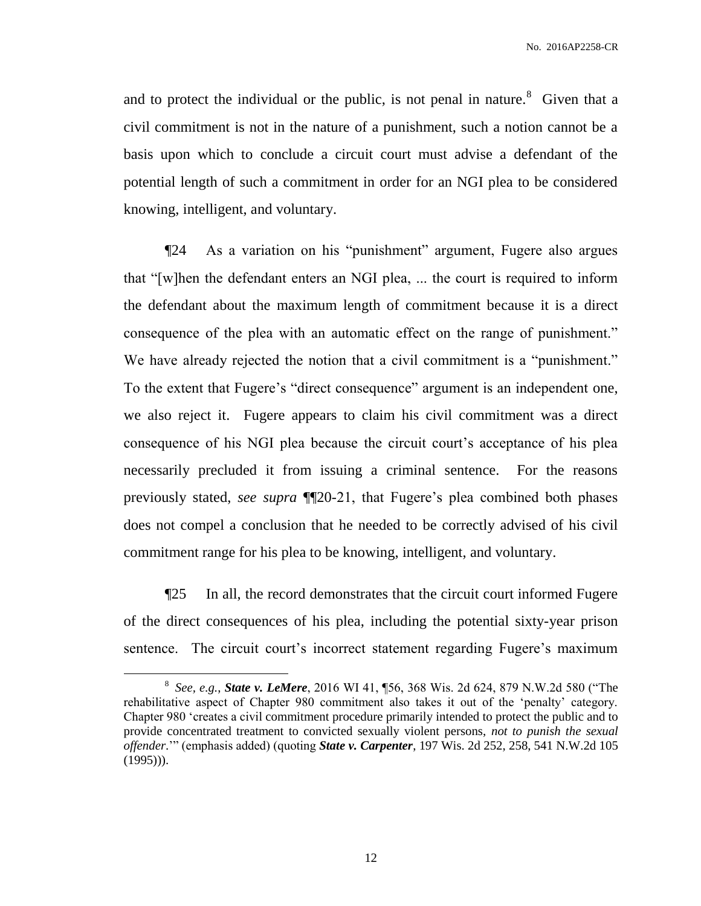and to protect the individual or the public, is not penal in nature.<sup>8</sup> Given that a civil commitment is not in the nature of a punishment, such a notion cannot be a basis upon which to conclude a circuit court must advise a defendant of the potential length of such a commitment in order for an NGI plea to be considered knowing, intelligent, and voluntary.

¶24 As a variation on his "punishment" argument, Fugere also argues that "[w]hen the defendant enters an NGI plea, ... the court is required to inform the defendant about the maximum length of commitment because it is a direct consequence of the plea with an automatic effect on the range of punishment." We have already rejected the notion that a civil commitment is a "punishment." To the extent that Fugere's "direct consequence" argument is an independent one, we also reject it. Fugere appears to claim his civil commitment was a direct consequence of his NGI plea because the circuit court's acceptance of his plea necessarily precluded it from issuing a criminal sentence. For the reasons previously stated, *see supra* ¶¶20-21, that Fugere's plea combined both phases does not compel a conclusion that he needed to be correctly advised of his civil commitment range for his plea to be knowing, intelligent, and voluntary.

¶25 In all, the record demonstrates that the circuit court informed Fugere of the direct consequences of his plea, including the potential sixty-year prison sentence. The circuit court's incorrect statement regarding Fugere's maximum

 $\overline{a}$ 

<sup>8</sup> *See, e.g.*, *State v. LeMere*, 2016 WI 41, ¶56, 368 Wis. 2d 624, 879 N.W.2d 580 ("The rehabilitative aspect of Chapter 980 commitment also takes it out of the 'penalty' category. Chapter 980 'creates a civil commitment procedure primarily intended to protect the public and to provide concentrated treatment to convicted sexually violent persons, *not to punish the sexual offender*.'" (emphasis added) (quoting *State v. Carpenter*, 197 Wis. 2d 252, 258, 541 N.W.2d 105  $(1995))$ .